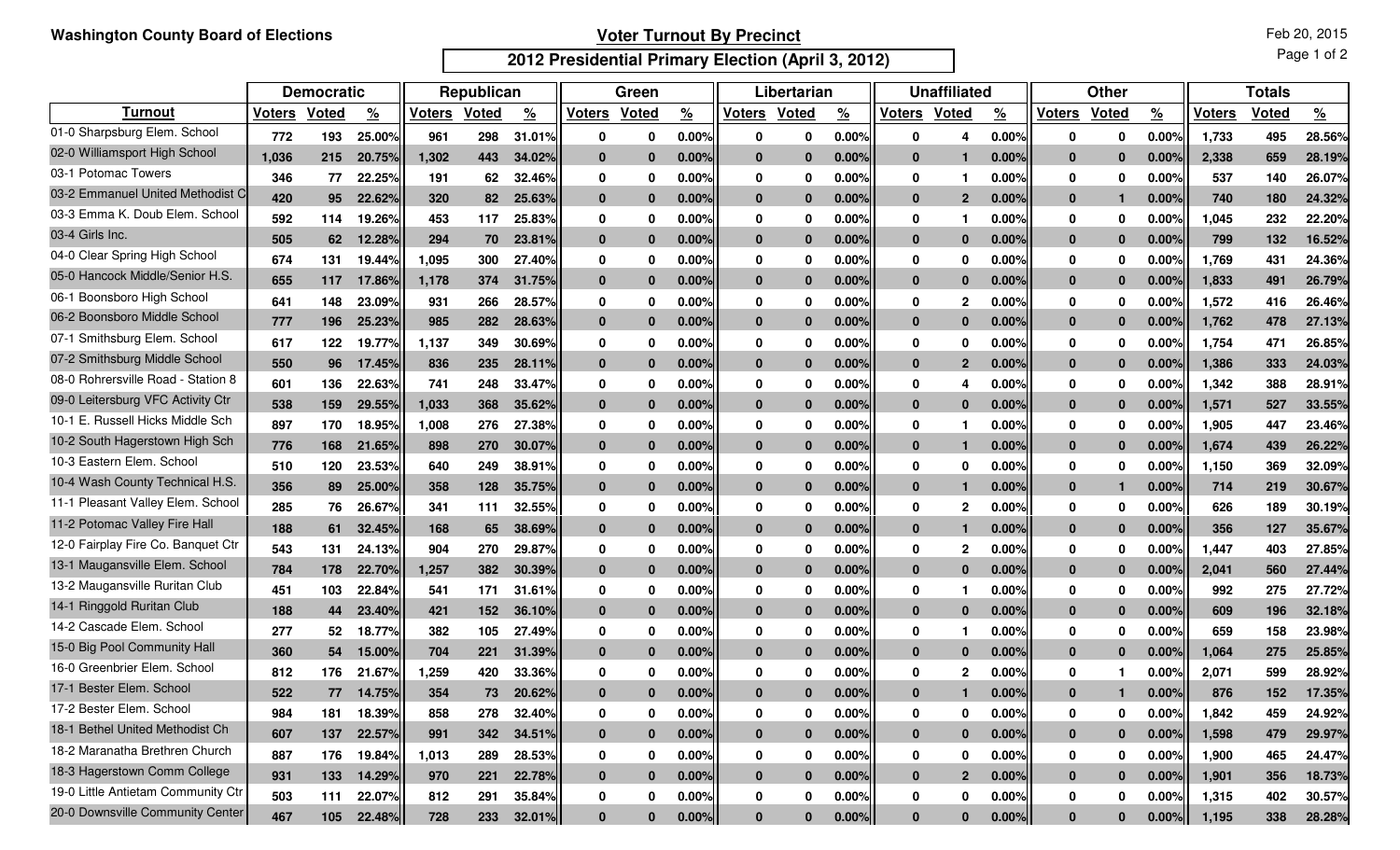## **Voter Turnout By Precinct**

**2012 Presidential Primary Election (April 3, 2012)**

Page 1 of 2

|                                    | <b>Democratic</b> |       |               | Republican    |              |               | Green         |              |               | Libertarian   |              |               | <b>Unaffiliated</b> |                |               | <b>Other</b> |              |               | <b>Totals</b> |       |          |
|------------------------------------|-------------------|-------|---------------|---------------|--------------|---------------|---------------|--------------|---------------|---------------|--------------|---------------|---------------------|----------------|---------------|--------------|--------------|---------------|---------------|-------|----------|
| <b>Turnout</b>                     | <b>Voters</b>     | Voted | $\frac{9}{6}$ | <b>Voters</b> | <b>Voted</b> | $\frac{9}{6}$ | <b>Voters</b> | Voted        | $\frac{9}{6}$ | <b>Voters</b> | <b>Voted</b> | $\frac{9}{6}$ | <b>Voters</b>       | Voted          | $\frac{9}{6}$ | Voters       | <b>Voted</b> | $\frac{9}{6}$ | <b>Voters</b> | Voted | <u>%</u> |
| 01-0 Sharpsburg Elem. School       | 772               | 193   | 25.00%        | 961           | 298          | 31.01%        | 0             | 0            | 0.00%         | $\bf{0}$      | 0            | 0.00%         | 0                   | 4              | 0.00%         | 0            | 0            | 0.00%         | 1,733         | 495   | 28.56%   |
| 02-0 Williamsport High School      | 1.036             | 215   | 20.75%        | 1,302         | 443          | 34.02%        | $\mathbf{0}$  | $\bf{0}$     | 0.00%         | $\mathbf{0}$  | $\bf{0}$     | 0.00%         | $\mathbf{0}$        |                | 0.00%         | $\bf{0}$     | $\bf{0}$     | 0.00          | 2,338         | 659   | 28.19%   |
| 03-1 Potomac Towers                | 346               | 77    | 22.25%        | 191           | 62           | 32.46%        | 0             | 0            | $0.00\%$      | 0             | 0            | 0.00%         | 0                   |                | $0.00\%$      | 0            | 0            | 0.00%         | 537           | 140   | 26.07%   |
| 03-2 Emmanuel United Methodist C   | 420               | 95    | 22.62%        | 320           | 82           | 25.63%        | $\mathbf{0}$  | $\bf{0}$     | 0.00%         | $\mathbf{0}$  | $\Omega$     | 0.00%         | $\mathbf{0}$        | $\overline{2}$ | 0.00%         | $\bf{0}$     | п            | 0.00          | 740           | 180   | 24.32%   |
| 03-3 Emma K. Doub Elem. School     | 592               | 114   | 19.26%        | 453           | 117          | 25.83%        | 0             | 0            | $0.00\%$      | 0             | 0            | $0.00\%$      | 0                   |                | $0.00\%$      | 0            | 0            | 0.00%         | ,045          | 232   | 22.20%   |
| 03-4 Girls Inc.                    | 505               | 62    | 12.28%        | 294           | 70           | 23.81%        | $\mathbf{0}$  | $\bf{0}$     | $0.00\%$      | $\mathbf{0}$  | $\Omega$     | 0.00%         | $\mathbf{0}$        | $\bf{0}$       | 0.00%         | $\bf{0}$     | $\bf{0}$     | 0.00%         | 799           | 132   | 16.52%   |
| 04-0 Clear Spring High School      | 674               | 131   | 19.44%        | 1,095         | 300          | 27.40%        | 0             | 0            | 0.00%         | 0             | 0            | $0.00\%$      | 0                   | $\bf{0}$       | $0.00\%$      | 0            | 0            | 0.009         | 1,769         | 431   | 24.36%   |
| 05-0 Hancock Middle/Senior H.S.    | 655               | 117   | 17.86%        | 1,178         | 374          | 31.75%        | $\mathbf{0}$  | $\bf{0}$     | 0.00%         | $\mathbf{0}$  | $\Omega$     | 0.00%         | $\mathbf{0}$        | $\bf{0}$       | 0.00%         | $\bf{0}$     | $\bf{0}$     | 0.00          | 1,833         | 491   | 26.79%   |
| 06-1 Boonsboro High School         | 641               | 148   | 23.09%        | 931           | 266          | 28.57%        | 0             | 0            | 0.00%         | 0             | 0            | 0.00%         | 0                   | 2              | 0.00%         | 0            | 0            | 0.00          | 1,572         | 416   | 26.46%   |
| 06-2 Boonsboro Middle School       | 777               | 196   | 25.23%        | 985           | 282          | 28.63%        | $\mathbf{0}$  | $\bf{0}$     | 0.00%         | $\bf{0}$      | $\Omega$     | 0.00%         | $\mathbf{0}$        | $\bf{0}$       | 0.00%         | $\bf{0}$     | $\bf{0}$     | 0.00%         | 1,762         | 478   | 27.13%   |
| 07-1 Smithsburg Elem. School       | 617               | 122   | 19.77%        | 1,137         | 349          | 30.69%        | 0             | 0            | 0.00%         | 0             | $\Omega$     | 0.00%         | 0                   | $\bf{0}$       | 0.00%         | 0            | 0            | 0.009         | 1,754         | 471   | 26.85%   |
| 07-2 Smithsburg Middle School      | 550               | 96    | 17.45%        | 836           | 235          | 28.11%        | $\bf{0}$      | $\bf{0}$     | 0.00%         | $\bf{0}$      | $\Omega$     | 0.00%         | $\mathbf{0}$        | $\overline{2}$ | 0.00%         | $\bf{0}$     | $\bf{0}$     | 0.00%         | 1,386         | 333   | 24.03%   |
| 08-0 Rohrersville Road - Station 8 | 601               | 136   | 22.63%        | 741           | 248          | 33.47%        | 0             | 0            | 0.00%         | 0             | 0            | 0.00%         | $\mathbf 0$         | 4              | 0.00%         | $\mathbf 0$  | 0            | 0.00          | 1,342         | 388   | 28.91%   |
| 09-0 Leitersburg VFC Activity Ctr  | 538               | 159   | 29.55%        | 1,033         | 368          | 35.62%        | $\bf{0}$      | $\bf{0}$     | 0.00%         | $\bf{0}$      | $\Omega$     | 0.00%         | $\mathbf{0}$        | $\Omega$       | 0.00%         | $\bf{0}$     | $\bf{0}$     | 0.00          | 1,571         | 527   | 33.55%   |
| 10-1 E. Russell Hicks Middle Sch   | 897               | 170   | 18.95%        | 1,008         | 276          | 27.38%        | 0             | 0            | 0.00%         | 0             | 0            | 0.00%         | 0                   | -1             | $0.00\%$      | 0            | 0            | 0.00          | 1,905         | 447   | 23.46%   |
| 10-2 South Hagerstown High Sch     | 776               | 168   | 21.65%        | 898           | 270          | 30.07%        | 0             | $\bf{0}$     | 0.00%         | $\bf{0}$      | $\Omega$     | 0.00%         | $\mathbf{0}$        | -1             | 0.00%         | $\bf{0}$     | $\bf{0}$     | 0.00          | 1,674         | 439   | 26.22%   |
| 10-3 Eastern Elem. School          | 510               | 120   | 23.53%        | 640           | 249          | 38.91%        | 0             | 0            | 0.00%         | 0             | 0            | 0.00%         | 0                   | 0              | $0.00\%$      | $\mathbf 0$  | 0            | 0.00          | 1,150         | 369   | 32.09%   |
| 10-4 Wash County Technical H.S.    | 356               | 89    | 25.00%        | 358           | 128          | 35.75%        | $\mathbf{0}$  | $\bf{0}$     | 0.00%         | $\mathbf{0}$  | $\Omega$     | 0.00%         | $\mathbf{0}$        | 1              | 0.00%         | $\bf{0}$     | п            | 0.00          | 714           | 219   | 30.67%   |
| 11-1 Pleasant Valley Elem. School  | 285               | 76    | 26.67%        | 341           | 111          | 32.55%        | 0             | 0            | 0.00%         | 0             | 0            | $0.00\%$      | 0                   | 2              | 0.00%         | 0            | 0            | 0.00%         | 626           | 189   | 30.19%   |
| 11-2 Potomac Valley Fire Hall      | 188               | 61    | 32.45%        | 168           | 65           | <b>38.69%</b> | $\mathbf{0}$  | $\bf{0}$     | 0.00%         | $\mathbf{0}$  | $\bf{0}$     | 0.00%         | $\mathbf{0}$        | 1              | 0.00%         | $\bf{0}$     | $\bf{0}$     | 0.00%         | 356           | 127   | 35.67%   |
| 12-0 Fairplay Fire Co. Banquet Ctr | 543               | 131   | 24.13%        | 904           | 270          | 29.87%        | 0             | 0            | 0.00%         | 0             | 0            | 0.00%         | 0                   | 2              | 0.00%         | $\mathbf 0$  | 0            | 0.00%         | 1,447         | 403   | 27.85%   |
| 13-1 Maugansville Elem. School     | 784               | 178   | 22.70%        | 1,257         | 382          | <b>30.39%</b> | $\mathbf{0}$  | $\bf{0}$     | 0.00%         | $\mathbf{0}$  | $\bf{0}$     | 0.00%         | $\mathbf{0}$        | $\Omega$       | 0.00%         | $\bf{0}$     | $\bf{0}$     | 0.00          | 2,041         | 560   | 27.44%   |
| 13-2 Maugansville Ruritan Club     | 451               | 103   | 22.84%        | 541           | 171          | 31.61%        | 0             | 0            | 0.00%         | 0             | 0            | 0.00%         | 0                   |                | 0.00%         | 0            | 0            | 0.00%         | 992           | 275   | 27.72%   |
| 14-1 Ringgold Ruritan Club         | 188               | 44    | 23.40%        | 421           | 152          | 36.10%        | $\mathbf{0}$  | $\bf{0}$     | 0.00%         | $\mathbf{0}$  | $\Omega$     | 0.00%         | $\mathbf{0}$        | $\Omega$       | 0.00%         | $\bf{0}$     | $\bf{0}$     | 0.00          | 609           | 196   | 32.18%   |
| 14-2 Cascade Elem. School          | 277               | 52    | 18.77%        | 382           | 105          | 27.49%        | 0             | 0            | 0.00%         | 0             | 0            | 0.00%         | 0                   |                | 0.00%         | 0            | 0            | 0.00%         | 659           | 158   | 23.98%   |
| 15-0 Big Pool Community Hall       | 360               | 54    | 15.00%        | 704           | 221          | 31.39%        | $\mathbf{0}$  | $\bf{0}$     | $0.00\%$      | $\mathbf{0}$  | $\bf{0}$     | 0.00%         | $\mathbf{0}$        | $\bf{0}$       | 0.00%         | $\bf{0}$     | $\bf{0}$     | 0.00          | 1.064         | 275   | 25.85%   |
| 16-0 Greenbrier Elem. School       | 812               | 176   | 21.67%        | 1,259         | 420          | 33.36%        | 0             | 0            | 0.00%         | 0             | 0            | 0.00%         | 0                   |                | 0.00%         | 0            |              | 0.009         | 2,071         | 599   | 28.92%   |
| 17-1 Bester Elem. School           | 522               | 77    | 14.75%        | 354           | 73           | 20.62%        |               |              | 0.00%         | $\Omega$      |              | 0.00%         | $\Omega$            |                | 0.00%         |              |              | 0.00%         | 876           | 152   | 17.35%   |
| 17-2 Bester Elem. School           | 984               | 181   | 18.39%        | 858           | 278          | 32.40%        | 0             | $\mathbf 0$  | 0.00%         | 0             | 0            | 0.00%         | 0                   | $\bf{0}$       | 0.00%         | 0            | 0            | $0.00\%$      | 1,842         | 459   | 24.92%   |
| 18-1 Bethel United Methodist Ch    | 607               | 137   | 22.57%        | 991           | 342          | 34.51%        | $\mathbf 0$   | $\mathbf{0}$ | 0.00%         | $\mathbf{0}$  | $\bf{0}$     | 0.00%         | $\bf{0}$            | $\bf{0}$       | 0.00%         | $\mathbf{0}$ | $\bf{0}$     | 0.00%         | 1,598         | 479   | 29.97%   |
| 18-2 Maranatha Brethren Church     | 887               | 176   | 19.84%        | 1,013         | 289          | 28.53%        | 0             | $\mathbf 0$  | 0.00%         | 0             | $\mathbf 0$  | 0.00%         | 0                   | 0              | 0.00%         | 0            | 0            | 0.00%         | 1,900         | 465   | 24.47%   |
| 18-3 Hagerstown Comm College       | 931               | 133   | 14.29%        | 970           | 221          | 22.78%        | $\bf{0}$      | $\bf{0}$     | 0.00%         | $\mathbf{0}$  | $\bf{0}$     | 0.00%         | $\bf{0}$            | $\mathbf{2}$   | 0.00%         | $\bf{0}$     | $\bf{0}$     | 0.00%         | 1,901         | 356   | 18.73%   |
| 19-0 Little Antietam Community Ctr | 503               | 111   | 22.07%        | 812           | 291          | 35.84%        | 0             | 0            | 0.00%         | 0             | 0            | 0.00%         | 0                   | 0              | 0.00%         | 0            | 0            | 0.00%         | 1,315         | 402   | 30.57%   |
| 20-0 Downsville Community Center   | 467               | 105   | 22.48%        | 728           | 233          | $32.01\%$     | $\mathbf{0}$  | $\bf{0}$     | 0.00%         | $\mathbf{0}$  | $\bf{0}$     | 0.00%         | $\bf{0}$            | $\bf{0}$       | 0.00%         | $\bf{0}$     | $\bf{0}$     | 0.00%         | 1,195         | 338   | 28.28%   |